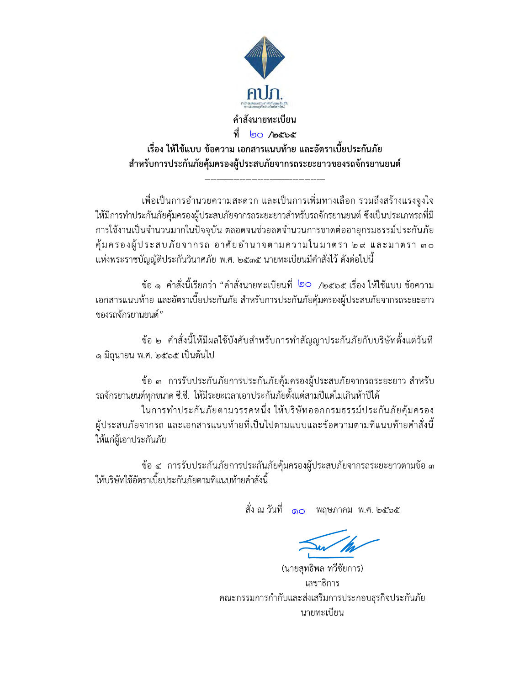

้เพื่อเป็นการอำนวยความสะดวก และเป็นการเพิ่มทางเลือก รวมถึงสร้างแรงจูงใจ ให้มีการทำประกันภัยคุ้มครองผู้ประสบภัยจากรถระยะยาวสำหรับรถจักรยานยนต์ ซึ่งเป็นประเภทรถที่มี การใช้งานเป็นจำนวนมากในปัจจุบัน ตลอดจนช่วยลดจำนวนการขาดต่ออายุกรมธรรม์ประกันภัย ้คุ้มครองผู้ประสบภัยจากรถ อาศัยอำนาจตามความในมาตรา ๒๙ และมาตรา ๓๐ แห่งพระราชบัญญัติประกันวินาศภัย พ.ศ. ๒๕๓๕ นายทะเบียนมีคำสั่งไว้ ดังต่อไปนี้

ข้อ ๑ คำสั่งนี้เรียกว่า "คำสั่งนายทะเบียนที่ ๒๐ /๒๕๖๕ เรื่อง ให้ใช้แบบ ข้อความ เอกสารแนบท้าย และอัตราเบี้ยประกันภัย สำหรับการประกันภัยคุ้มครองผู้ประสบภัยจากรถระยะยาว ของรถจักรยานยนต์"

ข้อ ๒ คำสั่งนี้ให้มีผลใช้บังคับสำหรับการทำสัญญาประกันภัยกับบริษัทตั้งแต่วันที่ ด มิถุนายน พ.ศ. ๒๕๖๕ เป็นต้นไป

ข้อ ๓ การรับประกันภัยการประกันภัยคุ้มครองผู้ประสบภัยจากรถระยะยาว สำหรับ ้รถจักรยานยนต์ทุกขนาด ซี.ซี. ให้มีระยะเวลาเอาประกันภัยตั้งแต่สามปีแต่ไม่เกินห้าปีได้

ในการทำประกันภัยตามวรรคหนึ่ง ให้บริษัทออกกรมธรรม์ประกันภัยคุ้มครอง ้ผู้ประสบภัยจากรถ และเอกสารแนบท้ายที่เป็นไปตามแบบและข้อความตามที่แนบท้ายคำสั่งนี้ ให้แก่ผู้เอาประกันภัย

ข้อ ๔ การรับประกันภัยการประกันภัยคุ้มครองผู้ประสบภัยจากรถระยะยาวตามข้อ ๓ ให้บริษัทใช้อัตราเบี้ยประกันภัยตามที่แนบท้ายคำสั่งนี้

สั่ง ณ วันที่ ๑๐ พฤษภาคม พ.ศ. ๒๕๖๕

(นายสุทธิพล ทวีชัยการ) เลขาธิการ คณะกรรมการกำกับและส่งเสริมการประกอบธุรกิจประกันภัย นายทะเบียน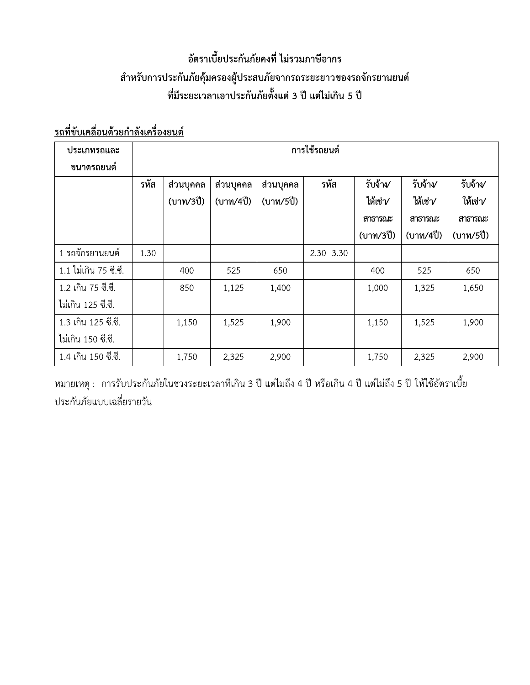# อัตราเบียประกันภัยคงที่ ไม่รวมภาษิอากร สำหรับการประกันภัยคุ้มครองผู้ประสบภัยจากรถระยะยาวของรถจักรยานยนต์ ะเวลาเอาประกันภัยตั้งแต่ 3 ปี แต่ไม่เกิน 5 ปี

## <=-6>?@ 6-> A

|                                                                   |              |           |           | ้อัตราเบี้ยประกันภัยคงที่ ไม่รวมภาษีอากร |           |           |           |           |  |  |
|-------------------------------------------------------------------|--------------|-----------|-----------|------------------------------------------|-----------|-----------|-----------|-----------|--|--|
| สำหรับการประกันภัยคุ้มครองผู้ประสบภัยจากรถระยะยาวของรถจักรยานยนต์ |              |           |           |                                          |           |           |           |           |  |  |
| ที่มีระยะเวลาเอาประกันภัยตั้งแต่ 3 ปี แต่ไม่เกิน 5 ปี             |              |           |           |                                          |           |           |           |           |  |  |
|                                                                   |              |           |           |                                          |           |           |           |           |  |  |
| <u>รถที่ขับเคลื่อนด้วยกำลังเครื่องยนต์</u>                        |              |           |           |                                          |           |           |           |           |  |  |
| ประเภทรถและ                                                       | การใช้รถยนต์ |           |           |                                          |           |           |           |           |  |  |
| ขนาดรถยนต์                                                        |              |           |           |                                          |           |           |           |           |  |  |
|                                                                   | รทัส         | ส่วนบุคคล | ส่วนบุคคล | ส่วนบุคคล                                | รหัส      | รับจ้าง∕  | รับจ้าง∕  | รับจ้าง∕  |  |  |
|                                                                   |              | (บาท/3ปี) | (บาท/4ปี) | (บาท/5ปี)                                |           | ให้เช่า∕  | ให้เช่√   | ให้เช่√   |  |  |
|                                                                   |              |           |           |                                          |           | สาธารณะ   | สาธารณะ   | สาธารณะ   |  |  |
|                                                                   |              |           |           |                                          |           | (บาท/3ปี) | (บาท/4ปี) | (บาท/5ปี) |  |  |
| 1 รถจักรยานยนต์                                                   | 1.30         |           |           |                                          | 2.30 3.30 |           |           |           |  |  |
| 1.1 ไม่เกิน 75 ซี.ซี.                                             |              | 400       | 525       | 650                                      |           | 400       | 525       | 650       |  |  |
| 1.2 เกิน 75 ซี.ซี.                                                |              | 850       | 1,125     | 1,400                                    |           | 1,000     | 1,325     | 1,650     |  |  |
| ไม่เกิน 125 ซี.ซี.                                                |              |           |           |                                          |           |           |           |           |  |  |
| 1.3 เกิน 125 ซี.ซี.                                               |              | 1,150     | 1,525     | 1,900                                    |           | 1,150     | 1,525     | 1,900     |  |  |
|                                                                   |              |           |           |                                          |           |           |           |           |  |  |
| ไม่เกิน 150 ซี.ซี.                                                |              |           |           |                                          |           |           |           |           |  |  |

<u>หมายเหตุ</u> : การรับประกันภัยในช่วงระยะเวลาที่เกิน 3 ปี แต่ไม่ถิ่ง 4 ปี หรือเกิน 4 ปี แต่ไม่ถิ่ง 5 ปี ให้ใช้อัตราเบีย ประกันภัยแบบเฉลี่ยรายวัน